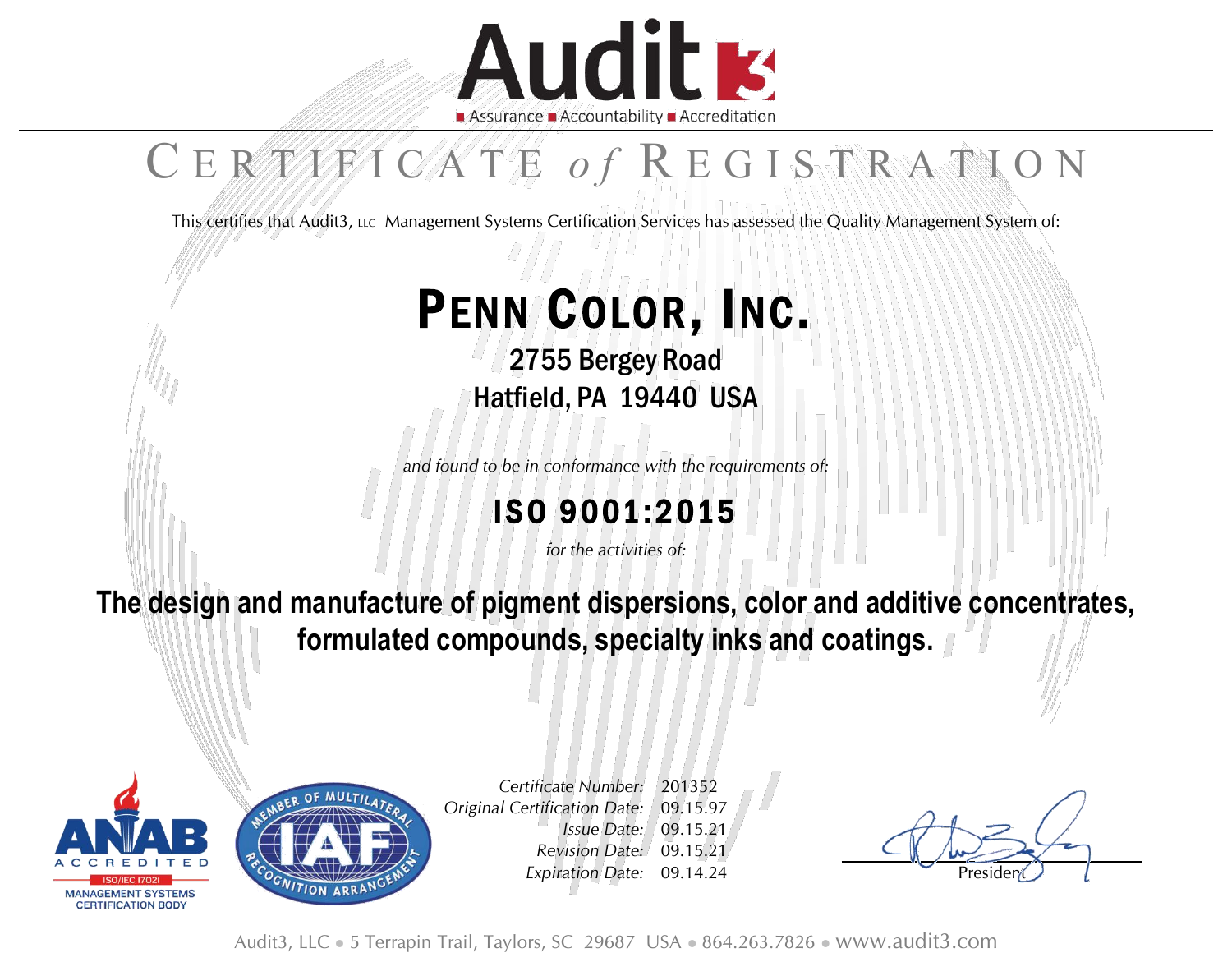

# C E R T I F I C A T E of R E G I S T R A T I O N

This certifies that Audit3, LLC Management Systems Certification Services has assessed the Quality Management System of:

# PENN COLOR, INC.

2755 Bergey Road Hatfield, PA 19440 USA

*and found to be in conformance with the requirements of:*

### ISO 9001:2015

*for the activities of:*

**The design and manufacture of pigment dispersions, color and additive concentrates, formulated compounds, specialty inks and coatings.**





*Certificate Number: Original Certification Date:* 201352 09.15.97 *Issue Date:* 09.15.21 *Revision Date:* 09.15.21 *Expiration Date:* 09.14.24 Preside

Audit3, LLC ⚫ 5 Terrapin Trail, Taylors, SC 29687 USA ⚫ 864.263.7826 ⚫ www.audit3.com